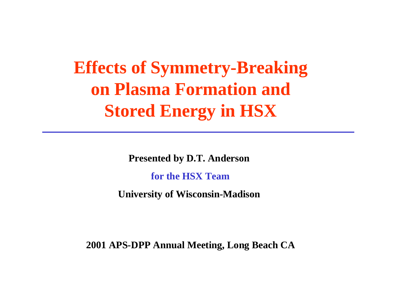**Effects of Symmetry-Breaking on Plasma Formation and Stored Energy in HSX**

**Presented by D.T. Anderson**

**for the HSX Team**

**University of Wisconsin-Madison**

**2001 APS-DPP Annual Meeting, Long Beach CA**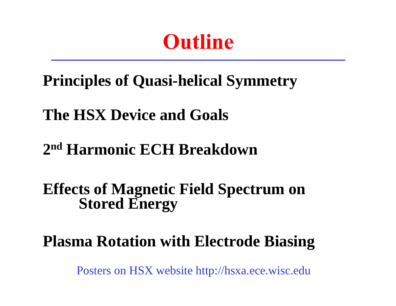# **Outline**

## **Principles of Quasi-helical Symmetry**

## **The HSX Device and Goals**

## **2nd Harmonic ECH Breakdown**

### **Effects of Magnetic Field Spectrum on Stored Energy**

## **Plasma Rotation with Electrode Biasing**

Posters on HSX website http://hsxa.ece.wisc.edu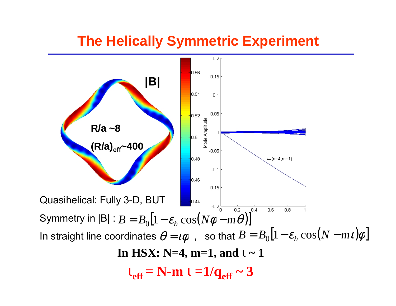#### **The Helically Symmetric Experiment**

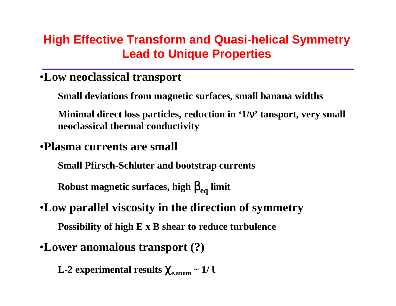#### **High Effective Transform and Quasi-helical Symmetry Lead to Unique Properties**

#### •**Low neoclassical transport**

**Small deviations from magnetic surfaces, small banana widths**

**Minimal direct loss particles, reduction in '1/**ν**' tansport, very small neoclassical thermal conductivity**

#### •**Plasma currents are small**

**Small Pfirsch-Schluter and bootstrap currents**

**Robust magnetic surfaces, high**  β**eq limit**

### •**Low parallel viscosity in the direction of symmetry**

**Possibility of high E x B shear to reduce turbulence**

#### •**Lower anomalous transport (?)**

**L-2 experimental results**  χ**e,anom ~ 1/**  ι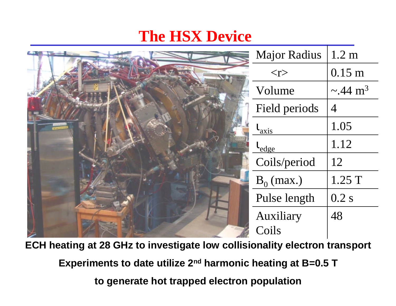### **The HSX Device**

| <b>Major Radius</b>   | 1.2 <sub>m</sub>          |
|-----------------------|---------------------------|
| $<$ r $>$             | $0.15$ m                  |
| Volume                | $\sim$ .44 m <sup>3</sup> |
| Field periods         | $\overline{4}$            |
| $\iota_{\rm axis}$    | 1.05                      |
| $\iota_{\text{edge}}$ | 1.12                      |
| Coils/period          | 12                        |
| $B_0$ (max.)          | 1.25 T                    |
| Pulse length          | 0.2 s                     |
| Auxiliary             | 48                        |
| Coils                 |                           |

**ECH heating at 28 GHz to investigate low collisionality electron transport**

**Experiments to date utilize 2nd harmonic heating at B=0.5 T** 

**to generate hot trapped electron population**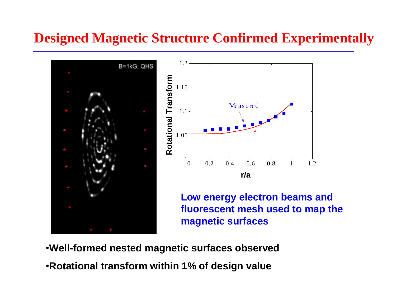#### **Designed Magnetic Structure Confirmed Experimentally**



•**Well-formed nested magnetic surfaces observed** •**Rotational transform within 1% of design value**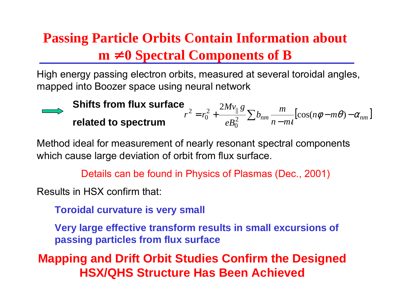### **Passing Particle Orbits Contain Information about m**  <sup>≠</sup> **0 Spectral Components of B**

High energy passing electron orbits, measured at several toroidal angles, mapped into Boozer space using neural network

**Shifts from flux surface**  
\n
$$
r^{2} = r_{0}^{2} + \frac{2Mv_{||}g}{eB_{0}^{2}} \sum b_{nm} \frac{m}{n-mt} [\cos(n\phi - m\theta) - \alpha_{nm}]
$$
\n**related to spectrum**

Method ideal for measurement of nearly resonant spectral components which cause large deviation of orbit from flux surface.

Details can be found in Physics of Plasmas (Dec., 2001)

Results in HSX confirm that:

**Toroidal curvature is very small**

**Very large effective transform results in small excursions of passing particles from flux surface**

**Mapping and Drift Orbit Studies Confirm the Designed HSX/QHS Structure Has Been Achieved**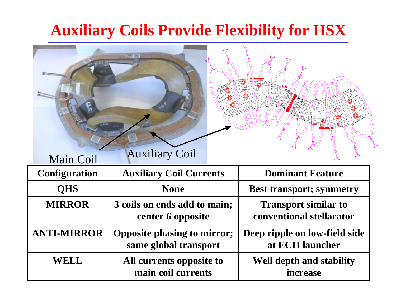### **Auxiliary Coils Provide Flexibility for HSX**

| <b>Main Coil</b>     | <b>Auxiliary Coil</b>                                       |  |                                                         |
|----------------------|-------------------------------------------------------------|--|---------------------------------------------------------|
| <b>Configuration</b> | <b>Auxiliary Coil Currents</b>                              |  | <b>Dominant Feature</b>                                 |
| <b>QHS</b>           | <b>None</b>                                                 |  | <b>Best transport; symmetry</b>                         |
| <b>MIRROR</b>        | 3 coils on ends add to main;<br>center 6 opposite           |  | <b>Transport similar to</b><br>conventional stellarator |
| <b>ANTI-MIRROR</b>   | <b>Opposite phasing to mirror;</b><br>same global transport |  | Deep ripple on low-field side<br>at ECH launcher        |
| WELL                 | All currents opposite to<br>main coil currents              |  | Well depth and stability<br>increase                    |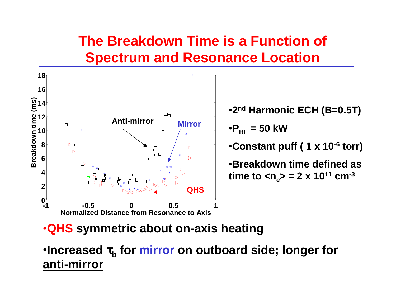### **The Breakdown Time is a Function of Spectrum and Resonance Location**



•**2nd Harmonic ECH (B=0.5T)** • $\mathsf{P}_{\mathsf{RF}}$  = 50 kW •**Constant puff ( 1 x 10-6 torr)** •**Breakdown time defined as time to**  $\langle n_{e} \rangle = 2 \times 10^{11}$  **cm<sup>-3</sup>** 

#### •**QHS symmetric about on-axis heating**

•**Increased** τ**b for mirror on outboard side; longer for anti-mirror**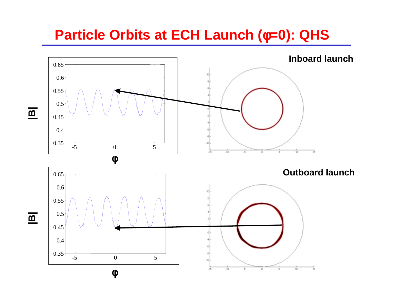#### **Particle Orbits at ECH Launch (**φ**=0): QHS**



**|B|**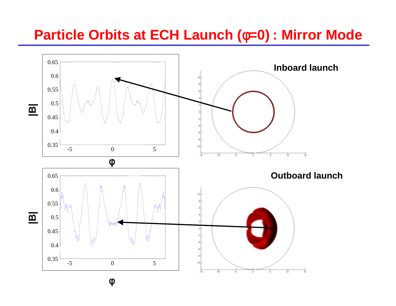#### **Particle Orbits at ECH Launch (**φ**=0) : Mirror Mode**

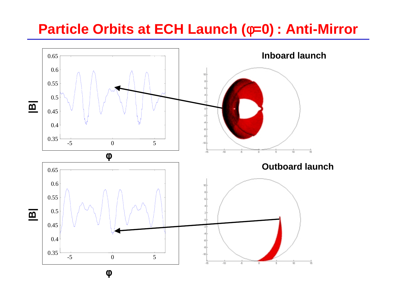#### **Particle Orbits at ECH Launch (**φ**=0) : Anti-Mirror**

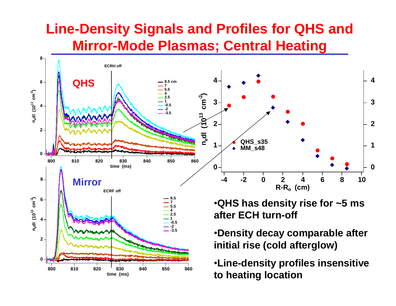#### **Line-Density Signals and Profiles for QHS and Mirror-Mode Plasmas; Central Heating**



**time (ms)**

**to heating location**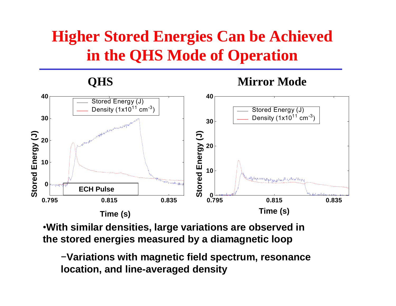## **Higher Stored Energies Can be Achieved in the QHS Mode of Operation**

#### **QHS**

#### **Mirror Mode**



•**With similar densities, large variations are observed in the stored energies measured by a diamagnetic loop**

<sup>−</sup>**Variations with magnetic field spectrum, resonance location, and line-averaged density**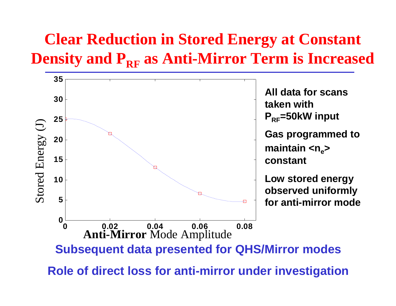## **Clear Reduction in Stored Energy at Constant Density and PRF as Anti-Mirror Term is Increased**

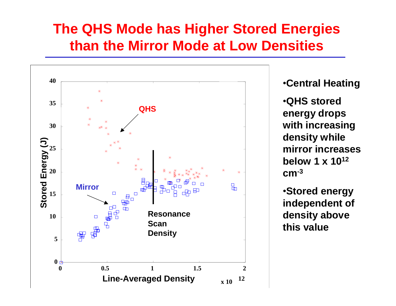#### **The QHS Mode has Higher Stored Energies than the Mirror Mode at Low Densities**



•**Central Heating**

•**QHS stored energy drops with increasing density while mirror increases below 1 x 1012 cm-<sup>3</sup>**

•**Stored energy independent of density above this value**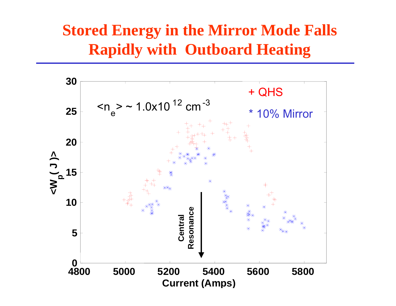### **Stored Energy in the Mirror Mode Falls Rapidly with Outboard Heating**

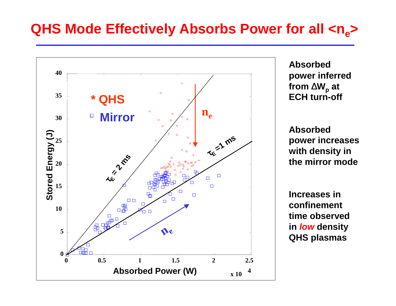#### **QHS Mode Effectively Absorbs Power for all**  $\langle n_{e} \rangle$



**Absorbed power inferred from** ∆**Wp at ECH turn-off**

**Absorbed power increases with density in the mirror mode**

**Increases in confinement time observed in** *low* **density QHS plasmas**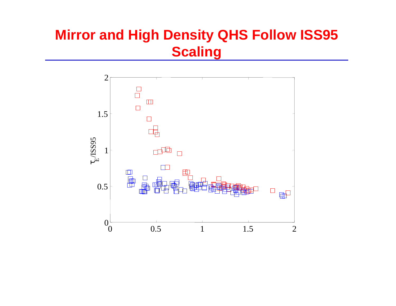### **Mirror and High Density QHS Follow ISS95 Scaling**

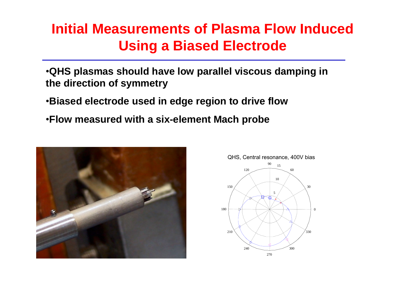#### **Initial Measurements of Plasma Flow Induced Using a Biased Electrode**

- •**QHS plasmas should have low parallel viscous damping in the direction of symmetry**
- •**Biased electrode used in edge region to drive flow**
- •**Flow measured with a six-element Mach probe**



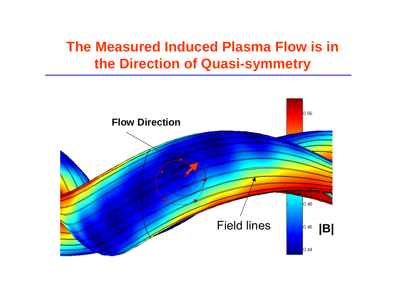### **The Measured Induced Plasma Flow is in the Direction of Quasi-symmetry**

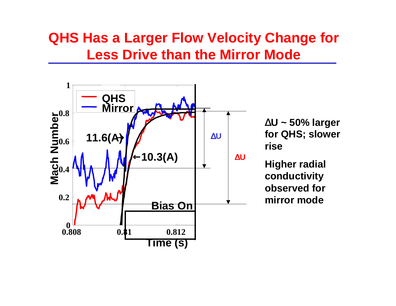#### **QHS Has a Larger Flow Velocity Change for Less Drive than the Mirror Mode**



∆**U ~ 50% larger for QHS; slower rise**

**Higher radial conductivity observed for mirror mode**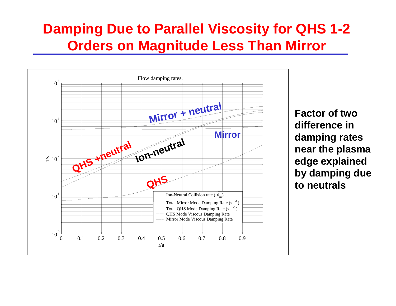#### **Damping Due to Parallel Viscosity for QHS 1-2 Orders on Magnitude Less Than Mirror**



**Factor of two difference in damping rates near the plasma edge explained by damping due to neutrals**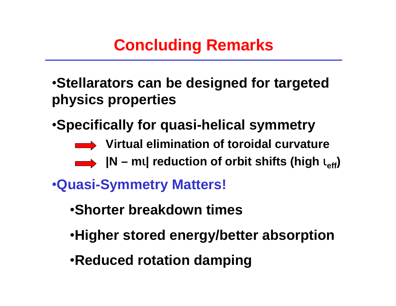## **Concluding Remarks**

•**Stellarators can be designed for targeted physics properties**

•**Specifically for quasi-helical symmetry**

- **Virtual elimination of toroidal curvature**
- **|N – <sup>m</sup>** <sup>ι</sup>**| reduction of orbit shifts (high**  <sup>ι</sup>**eff)**
- •**Quasi-Symmetry Matters!**
	- •**Shorter breakdown times**
	- •**Higher stored energy/better absorption**
	- •**Reduced rotation damping**